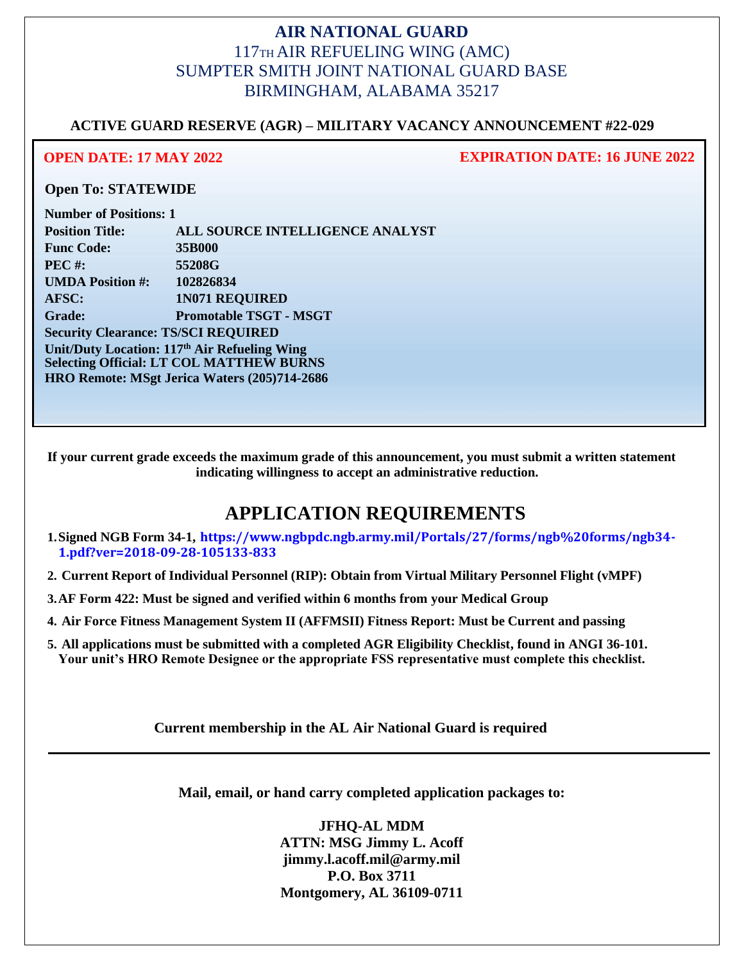## **AIR NATIONAL GUARD** 117TH AIR REFUELING WING (AMC) SUMPTER SMITH JOINT NATIONAL GUARD BASE BIRMINGHAM, ALABAMA 35217

### **ACTIVE GUARD RESERVE (AGR) – MILITARY VACANCY ANNOUNCEMENT #22-029**

**OPEN DATE: 17 MAY 2022 EXPIRATION DATE: 16 JUNE 2022**

### **Open To: STATEWIDE**

| <b>Number of Positions: 1</b>                            |                                 |
|----------------------------------------------------------|---------------------------------|
| <b>Position Title:</b>                                   | ALL SOURCE INTELLIGENCE ANALYST |
| <b>Func Code:</b>                                        | 35B000                          |
| <b>PEC#:</b>                                             | 55208G                          |
| <b>UMDA Position #:</b>                                  | 102826834                       |
| AFSC:                                                    | <b>1N071 REQUIRED</b>           |
| <b>Grade:</b>                                            | <b>Promotable TSGT - MSGT</b>   |
| <b>Security Clearance: TS/SCI REQUIRED</b>               |                                 |
| Unit/Duty Location: 117 <sup>th</sup> Air Refueling Wing |                                 |
| <b>Selecting Official: LT COL MATTHEW BURNS</b>          |                                 |
| HRO Remote: MSgt Jerica Waters (205)714-2686             |                                 |

**If your current grade exceeds the maximum grade of this announcement, you must submit a written statement indicating willingness to accept an administrative reduction.**

# **APPLICATION REQUIREMENTS**

- **1.Signed NGB Form 34-1, https://www.ngbpdc.ngb.army.mil/Portals/27/forms/ngb%20forms/ngb34- 1.pdf?ver=2018-09-28-105133-833**
- **2. Current Report of Individual Personnel (RIP): Obtain from Virtual Military Personnel Flight (vMPF)**
- **3.AF Form 422: Must be signed and verified within 6 months from your Medical Group**
- **4. Air Force Fitness Management System II (AFFMSII) Fitness Report: Must be Current and passing**
- **5. All applications must be submitted with a completed AGR Eligibility Checklist, found in ANGI 36-101. Your unit's HRO Remote Designee or the appropriate FSS representative must complete this checklist.**

**Current membership in the AL Air National Guard is required**

**Mail, email, or hand carry completed application packages to:**

**JFHQ-AL MDM ATTN: MSG Jimmy L. Acoff jimmy.l.acoff.mil@army.mil P.O. Box 3711 Montgomery, AL 36109-0711**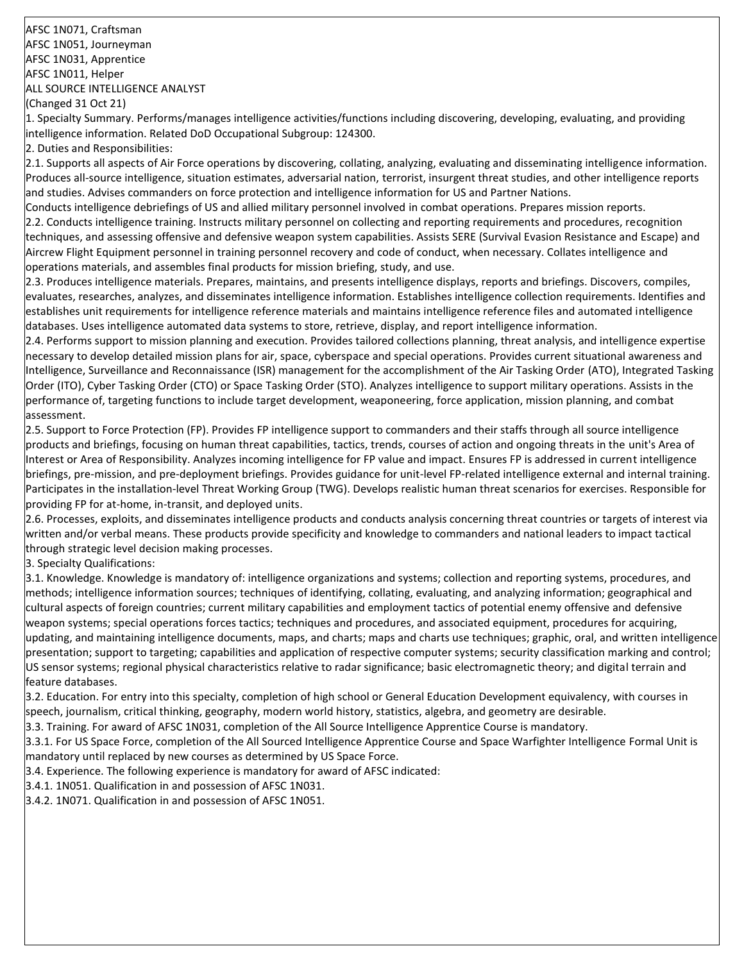AFSC 1N071, Craftsman AFSC 1N051, Journeyman AFSC 1N031, Apprentice AFSC 1N011, Helper ALL SOURCE INTELLIGENCE ANALYST (Changed 31 Oct 21)

1. Specialty Summary. Performs/manages intelligence activities/functions including discovering, developing, evaluating, and providing intelligence information. Related DoD Occupational Subgroup: 124300.

2. Duties and Responsibilities:

2.1. Supports all aspects of Air Force operations by discovering, collating, analyzing, evaluating and disseminating intelligence information. Produces all-source intelligence, situation estimates, adversarial nation, terrorist, insurgent threat studies, and other intelligence reports and studies. Advises commanders on force protection and intelligence information for US and Partner Nations.

Conducts intelligence debriefings of US and allied military personnel involved in combat operations. Prepares mission reports. 2.2. Conducts intelligence training. Instructs military personnel on collecting and reporting requirements and procedures, recognition techniques, and assessing offensive and defensive weapon system capabilities. Assists SERE (Survival Evasion Resistance and Escape) and Aircrew Flight Equipment personnel in training personnel recovery and code of conduct, when necessary. Collates intelligence and operations materials, and assembles final products for mission briefing, study, and use.

2.3. Produces intelligence materials. Prepares, maintains, and presents intelligence displays, reports and briefings. Discovers, compiles, evaluates, researches, analyzes, and disseminates intelligence information. Establishes intelligence collection requirements. Identifies and establishes unit requirements for intelligence reference materials and maintains intelligence reference files and automated intelligence databases. Uses intelligence automated data systems to store, retrieve, display, and report intelligence information.

2.4. Performs support to mission planning and execution. Provides tailored collections planning, threat analysis, and intelligence expertise necessary to develop detailed mission plans for air, space, cyberspace and special operations. Provides current situational awareness and Intelligence, Surveillance and Reconnaissance (ISR) management for the accomplishment of the Air Tasking Order (ATO), Integrated Tasking Order (ITO), Cyber Tasking Order (CTO) or Space Tasking Order (STO). Analyzes intelligence to support military operations. Assists in the performance of, targeting functions to include target development, weaponeering, force application, mission planning, and combat assessment.

2.5. Support to Force Protection (FP). Provides FP intelligence support to commanders and their staffs through all source intelligence products and briefings, focusing on human threat capabilities, tactics, trends, courses of action and ongoing threats in the unit's Area of Interest or Area of Responsibility. Analyzes incoming intelligence for FP value and impact. Ensures FP is addressed in current intelligence briefings, pre-mission, and pre-deployment briefings. Provides guidance for unit-level FP-related intelligence external and internal training. Participates in the installation-level Threat Working Group (TWG). Develops realistic human threat scenarios for exercises. Responsible for providing FP for at-home, in-transit, and deployed units.

2.6. Processes, exploits, and disseminates intelligence products and conducts analysis concerning threat countries or targets of interest via written and/or verbal means. These products provide specificity and knowledge to commanders and national leaders to impact tactical through strategic level decision making processes.

3. Specialty Qualifications:

3.1. Knowledge. Knowledge is mandatory of: intelligence organizations and systems; collection and reporting systems, procedures, and methods; intelligence information sources; techniques of identifying, collating, evaluating, and analyzing information; geographical and cultural aspects of foreign countries; current military capabilities and employment tactics of potential enemy offensive and defensive weapon systems; special operations forces tactics; techniques and procedures, and associated equipment, procedures for acquiring, updating, and maintaining intelligence documents, maps, and charts; maps and charts use techniques; graphic, oral, and written intelligence presentation; support to targeting; capabilities and application of respective computer systems; security classification marking and control; US sensor systems; regional physical characteristics relative to radar significance; basic electromagnetic theory; and digital terrain and feature databases.

3.2. Education. For entry into this specialty, completion of high school or General Education Development equivalency, with courses in speech, journalism, critical thinking, geography, modern world history, statistics, algebra, and geometry are desirable.

3.3. Training. For award of AFSC 1N031, completion of the All Source Intelligence Apprentice Course is mandatory.

3.3.1. For US Space Force, completion of the All Sourced Intelligence Apprentice Course and Space Warfighter Intelligence Formal Unit is mandatory until replaced by new courses as determined by US Space Force.

3.4. Experience. The following experience is mandatory for award of AFSC indicated:

3.4.1. 1N051. Qualification in and possession of AFSC 1N031.

3.4.2. 1N071. Qualification in and possession of AFSC 1N051.